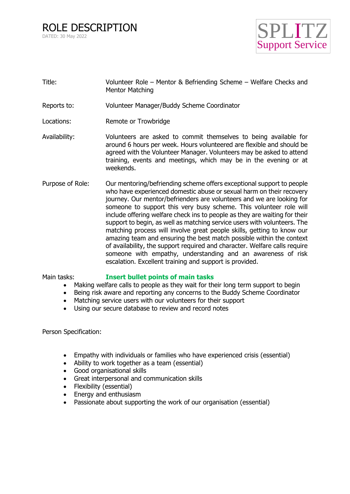ROLE DESCRIPTION DATED: 30 May 2022



- Title: Volunteer Role Mentor & Befriending Scheme Welfare Checks and Mentor Matching
- Reports to: Volunteer Manager/Buddy Scheme Coordinator
- Locations: Remote or Trowbridge
- Availability: Volunteers are asked to commit themselves to being available for around 6 hours per week. Hours volunteered are flexible and should be agreed with the Volunteer Manager. Volunteers may be asked to attend training, events and meetings, which may be in the evening or at weekends.
- Purpose of Role: Our mentoring/befriending scheme offers exceptional support to people who have experienced domestic abuse or sexual harm on their recovery journey. Our mentor/befrienders are volunteers and we are looking for someone to support this very busy scheme. This volunteer role will include offering welfare check ins to people as they are waiting for their support to begin, as well as matching service users with volunteers. The matching process will involve great people skills, getting to know our amazing team and ensuring the best match possible within the context of availability, the support required and character. Welfare calls require someone with empathy, understanding and an awareness of risk escalation. Excellent training and support is provided.

## Main tasks: **Insert bullet points of main tasks**

- Making welfare calls to people as they wait for their long term support to begin
- Being risk aware and reporting any concerns to the Buddy Scheme Coordinator
- Matching service users with our volunteers for their support
- Using our secure database to review and record notes

Person Specification:

- Empathy with individuals or families who have experienced crisis (essential)
- Ability to work together as a team (essential)
- Good organisational skills
- Great interpersonal and communication skills
- Flexibility (essential)
- Energy and enthusiasm
- Passionate about supporting the work of our organisation (essential)